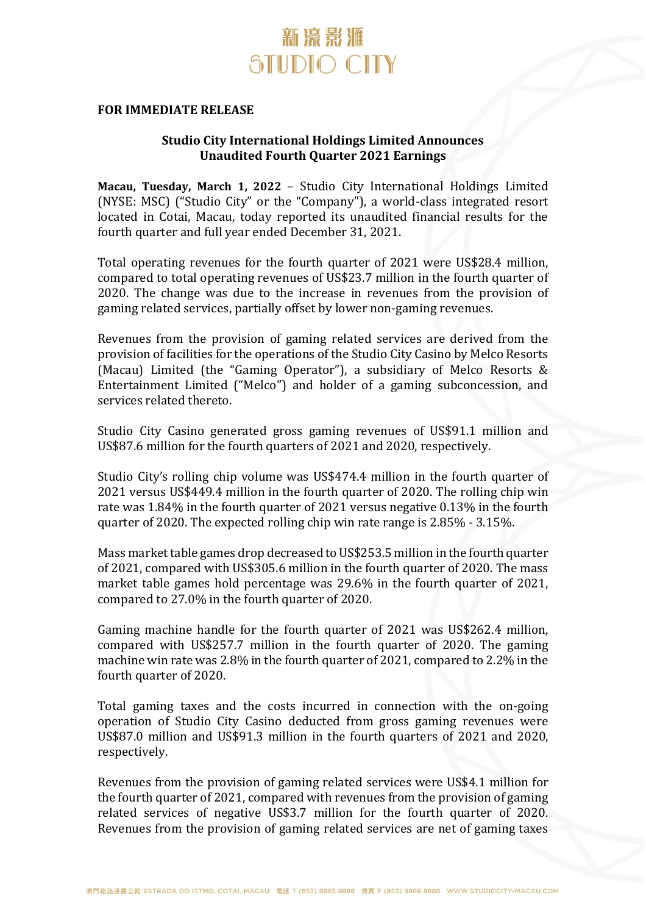

#### **FOR IMMEDIATE RELEASE**

### **Studio City International Holdings Limited Announces Unaudited Fourth Quarter 2021 Earnings**

**Macau, Tuesday, March 1, 2022** – Studio City International Holdings Limited (NYSE: MSC) ("Studio City" or the "Company"), a world-class integrated resort located in Cotai, Macau, today reported its unaudited financial results for the fourth quarter and full year ended December 31, 2021.

Total operating revenues for the fourth quarter of 2021 were US\$28.4 million, compared to total operating revenues of US\$23.7 million in the fourth quarter of 2020. The change was due to the increase in revenues from the provision of gaming related services, partially offset by lower non-gaming revenues.

Revenues from the provision of gaming related services are derived from the provision of facilities for the operations of the Studio City Casino by Melco Resorts (Macau) Limited (the "Gaming Operator"), a subsidiary of Melco Resorts & Entertainment Limited ("Melco") and holder of a gaming subconcession, and services related thereto.

Studio City Casino generated gross gaming revenues of US\$91.1 million and US\$87.6 million for the fourth quarters of 2021 and 2020, respectively.

Studio City's rolling chip volume was US\$474.4 million in the fourth quarter of 2021 versus US\$449.4 million in the fourth quarter of 2020. The rolling chip win rate was 1.84% in the fourth quarter of 2021 versus negative 0.13% in the fourth quarter of 2020. The expected rolling chip win rate range is 2.85% - 3.15%.

Mass market table games drop decreased to US\$253.5 million in the fourth quarter of 2021, compared with US\$305.6 million in the fourth quarter of 2020. The mass market table games hold percentage was 29.6% in the fourth quarter of 2021, compared to 27.0% in the fourth quarter of 2020.

Gaming machine handle for the fourth quarter of 2021 was US\$262.4 million, compared with US\$257.7 million in the fourth quarter of 2020. The gaming machine win rate was 2.8% in the fourth quarter of 2021, compared to 2.2% in the fourth quarter of 2020.

Total gaming taxes and the costs incurred in connection with the on-going operation of Studio City Casino deducted from gross gaming revenues were US\$87.0 million and US\$91.3 million in the fourth quarters of 2021 and 2020, respectively.

Revenues from the provision of gaming related services were US\$4.1 million for the fourth quarter of 2021, compared with revenues from the provision of gaming related services of negative US\$3.7 million for the fourth quarter of 2020. Revenues from the provision of gaming related services are net of gaming taxes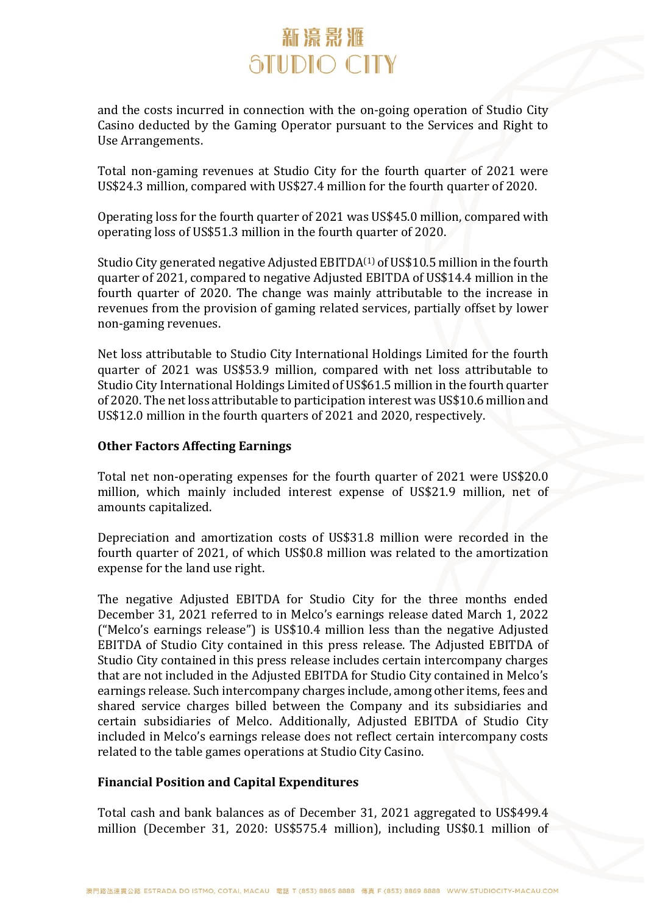and the costs incurred in connection with the on-going operation of Studio City Casino deducted by the Gaming Operator pursuant to the Services and Right to Use Arrangements.

Total non-gaming revenues at Studio City for the fourth quarter of 2021 were US\$24.3 million, compared with US\$27.4 million for the fourth quarter of 2020.

Operating loss for the fourth quarter of 2021 was US\$45.0 million, compared with operating loss of US\$51.3 million in the fourth quarter of 2020.

Studio City generated negative Adjusted EBITDA<sup>(1)</sup> of US\$10.5 million in the fourth quarter of 2021, compared to negative Adjusted EBITDA of US\$14.4 million in the fourth quarter of 2020. The change was mainly attributable to the increase in revenues from the provision of gaming related services, partially offset by lower non-gaming revenues.

Net loss attributable to Studio City International Holdings Limited for the fourth quarter of 2021 was US\$53.9 million, compared with net loss attributable to Studio City International Holdings Limited of US\$61.5 million in the fourth quarter of 2020. The net loss attributable to participation interest was US\$10.6 million and US\$12.0 million in the fourth quarters of 2021 and 2020, respectively.

### **Other Factors Affecting Earnings**

Total net non-operating expenses for the fourth quarter of 2021 were US\$20.0 million, which mainly included interest expense of US\$21.9 million, net of amounts capitalized.

Depreciation and amortization costs of US\$31.8 million were recorded in the fourth quarter of 2021, of which US\$0.8 million was related to the amortization expense for the land use right.

The negative Adjusted EBITDA for Studio City for the three months ended December 31, 2021 referred to in Melco's earnings release dated March 1, 2022 ("Melco's earnings release") is US\$10.4 million less than the negative Adjusted EBITDA of Studio City contained in this press release. The Adjusted EBITDA of Studio City contained in this press release includes certain intercompany charges that are not included in the Adjusted EBITDA for Studio City contained in Melco's earnings release. Such intercompany charges include, among other items, fees and shared service charges billed between the Company and its subsidiaries and certain subsidiaries of Melco. Additionally, Adjusted EBITDA of Studio City included in Melco's earnings release does not reflect certain intercompany costs related to the table games operations at Studio City Casino.

#### **Financial Position and Capital Expenditures**

Total cash and bank balances as of December 31, 2021 aggregated to US\$499.4 million (December 31, 2020: US\$575.4 million), including US\$0.1 million of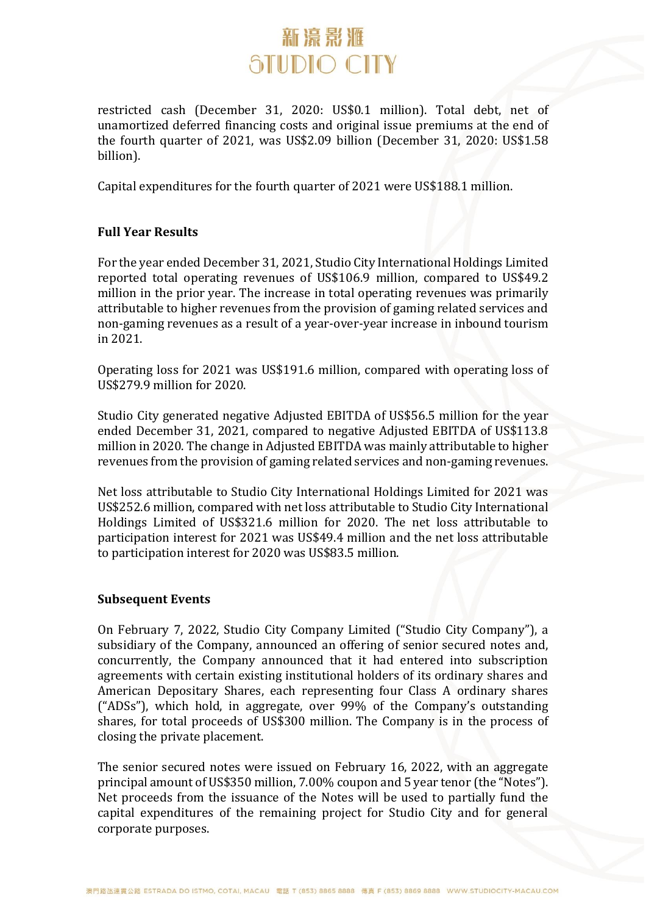restricted cash (December 31, 2020: US\$0.1 million). Total debt, net of unamortized deferred financing costs and original issue premiums at the end of the fourth quarter of 2021, was US\$2.09 billion (December 31, 2020: US\$1.58 billion).

Capital expenditures for the fourth quarter of 2021 were US\$188.1 million.

### **Full Year Results**

For the year ended December 31, 2021, Studio City International Holdings Limited reported total operating revenues of US\$106.9 million, compared to US\$49.2 million in the prior year. The increase in total operating revenues was primarily attributable to higher revenues from the provision of gaming related services and non-gaming revenues as a result of a year-over-year increase in inbound tourism in 2021.

Operating loss for 2021 was US\$191.6 million, compared with operating loss of US\$279.9 million for 2020.

Studio City generated negative Adjusted EBITDA of US\$56.5 million for the year ended December 31, 2021, compared to negative Adjusted EBITDA of US\$113.8 million in 2020. The change in Adjusted EBITDA was mainly attributable to higher revenues from the provision of gaming related services and non-gaming revenues.

Net loss attributable to Studio City International Holdings Limited for 2021 was US\$252.6 million, compared with net loss attributable to Studio City International Holdings Limited of US\$321.6 million for 2020. The net loss attributable to participation interest for 2021 was US\$49.4 million and the net loss attributable to participation interest for 2020 was US\$83.5 million.

#### **Subsequent Events**

On February 7, 2022, Studio City Company Limited ("Studio City Company"), a subsidiary of the Company, announced an offering of senior secured notes and, concurrently, the Company announced that it had entered into subscription agreements with certain existing institutional holders of its ordinary shares and American Depositary Shares, each representing four Class A ordinary shares ("ADSs"), which hold, in aggregate, over 99% of the Company's outstanding shares, for total proceeds of US\$300 million. The Company is in the process of closing the private placement.

The senior secured notes were issued on February 16, 2022, with an aggregate principal amount of US\$350 million, 7.00% coupon and 5 year tenor (the "Notes"). Net proceeds from the issuance of the Notes will be used to partially fund the capital expenditures of the remaining project for Studio City and for general corporate purposes.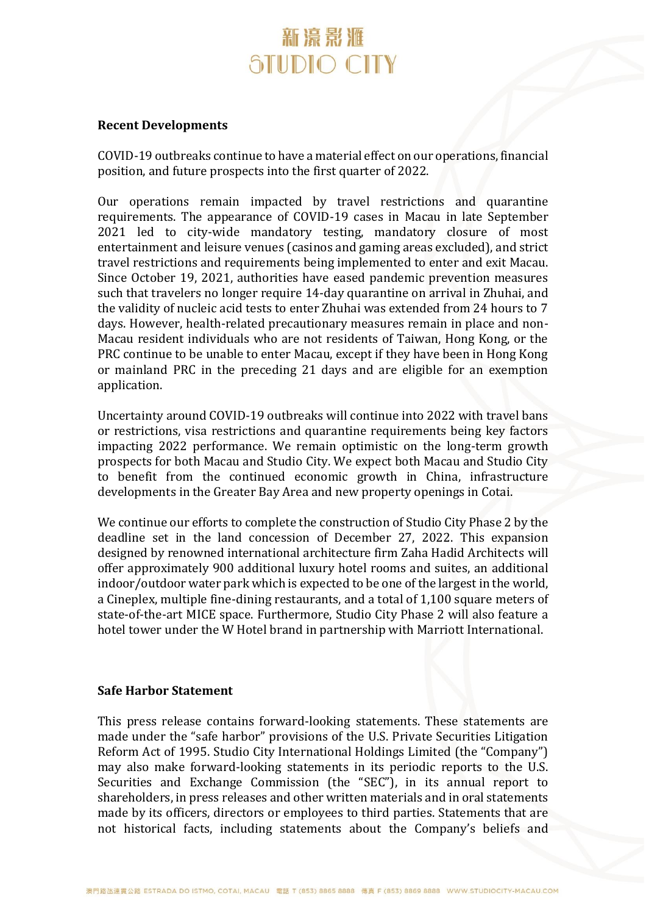#### **Recent Developments**

COVID-19 outbreaks continue to have a material effect on our operations, financial position, and future prospects into the first quarter of 2022.

Our operations remain impacted by travel restrictions and quarantine requirements. The appearance of COVID-19 cases in Macau in late September 2021 led to city-wide mandatory testing, mandatory closure of most entertainment and leisure venues (casinos and gaming areas excluded), and strict travel restrictions and requirements being implemented to enter and exit Macau. Since October 19, 2021, authorities have eased pandemic prevention measures such that travelers no longer require 14-day quarantine on arrival in Zhuhai, and the validity of nucleic acid tests to enter Zhuhai was extended from 24 hours to 7 days. However, health-related precautionary measures remain in place and non-Macau resident individuals who are not residents of Taiwan, Hong Kong, or the PRC continue to be unable to enter Macau, except if they have been in Hong Kong or mainland PRC in the preceding 21 days and are eligible for an exemption application.

Uncertainty around COVID-19 outbreaks will continue into 2022 with travel bans or restrictions, visa restrictions and quarantine requirements being key factors impacting 2022 performance. We remain optimistic on the long-term growth prospects for both Macau and Studio City. We expect both Macau and Studio City to benefit from the continued economic growth in China, infrastructure developments in the Greater Bay Area and new property openings in Cotai.

We continue our efforts to complete the construction of Studio City Phase 2 by the deadline set in the land concession of December 27, 2022. This expansion designed by renowned international architecture firm Zaha Hadid Architects will offer approximately 900 additional luxury hotel rooms and suites, an additional indoor/outdoor water park which is expected to be one of the largest in the world, a Cineplex, multiple fine-dining restaurants, and a total of 1,100 square meters of state-of-the-art MICE space. Furthermore, Studio City Phase 2 will also feature a hotel tower under the W Hotel brand in partnership with Marriott International.

#### **Safe Harbor Statement**

This press release contains forward-looking statements. These statements are made under the "safe harbor" provisions of the U.S. Private Securities Litigation Reform Act of 1995. Studio City International Holdings Limited (the "Company") may also make forward-looking statements in its periodic reports to the U.S. Securities and Exchange Commission (the "SEC"), in its annual report to shareholders, in press releases and other written materials and in oral statements made by its officers, directors or employees to third parties. Statements that are not historical facts, including statements about the Company's beliefs and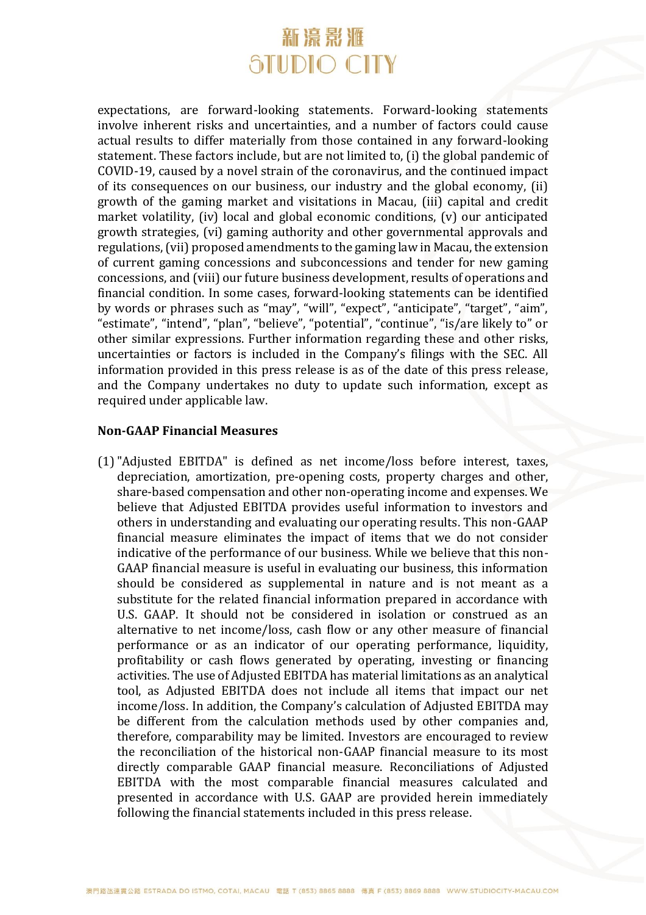expectations, are forward-looking statements. Forward-looking statements involve inherent risks and uncertainties, and a number of factors could cause actual results to differ materially from those contained in any forward-looking statement. These factors include, but are not limited to, (i) the global pandemic of COVID-19, caused by a novel strain of the coronavirus, and the continued impact of its consequences on our business, our industry and the global economy, (ii) growth of the gaming market and visitations in Macau, (iii) capital and credit market volatility, (iv) local and global economic conditions, (v) our anticipated growth strategies, (vi) gaming authority and other governmental approvals and regulations, (vii) proposed amendments to the gaming law in Macau, the extension of current gaming concessions and subconcessions and tender for new gaming concessions, and (viii) our future business development, results of operations and financial condition. In some cases, forward-looking statements can be identified by words or phrases such as "may", "will", "expect", "anticipate", "target", "aim", "estimate", "intend", "plan", "believe", "potential", "continue", "is/are likely to" or other similar expressions. Further information regarding these and other risks, uncertainties or factors is included in the Company's filings with the SEC. All information provided in this press release is as of the date of this press release, and the Company undertakes no duty to update such information, except as required under applicable law.

### **Non-GAAP Financial Measures**

(1)"Adjusted EBITDA" is defined as net income/loss before interest, taxes, depreciation, amortization, pre-opening costs, property charges and other, share-based compensation and other non-operating income and expenses. We believe that Adjusted EBITDA provides useful information to investors and others in understanding and evaluating our operating results. This non-GAAP financial measure eliminates the impact of items that we do not consider indicative of the performance of our business. While we believe that this non-GAAP financial measure is useful in evaluating our business, this information should be considered as supplemental in nature and is not meant as a substitute for the related financial information prepared in accordance with U.S. GAAP. It should not be considered in isolation or construed as an alternative to net income/loss, cash flow or any other measure of financial performance or as an indicator of our operating performance, liquidity, profitability or cash flows generated by operating, investing or financing activities. The use of Adjusted EBITDA has material limitations as an analytical tool, as Adjusted EBITDA does not include all items that impact our net income/loss. In addition, the Company's calculation of Adjusted EBITDA may be different from the calculation methods used by other companies and, therefore, comparability may be limited. Investors are encouraged to review the reconciliation of the historical non-GAAP financial measure to its most directly comparable GAAP financial measure. Reconciliations of Adjusted EBITDA with the most comparable financial measures calculated and presented in accordance with U.S. GAAP are provided herein immediately following the financial statements included in this press release.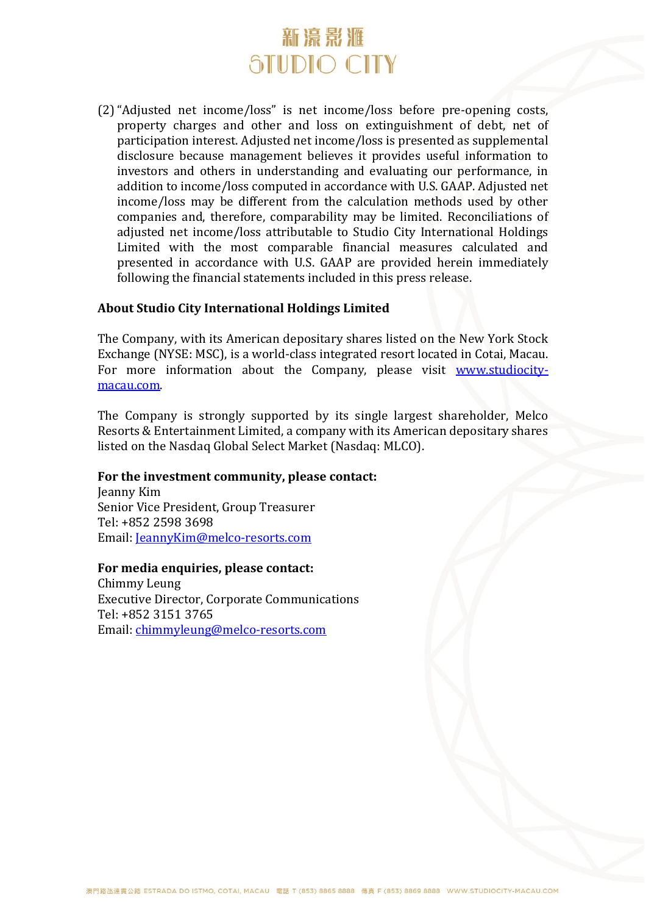(2)"Adjusted net income/loss" is net income/loss before pre-opening costs, property charges and other and loss on extinguishment of debt, net of participation interest. Adjusted net income/loss is presented as supplemental disclosure because management believes it provides useful information to investors and others in understanding and evaluating our performance, in addition to income/loss computed in accordance with U.S. GAAP. Adjusted net income/loss may be different from the calculation methods used by other companies and, therefore, comparability may be limited. Reconciliations of adjusted net income/loss attributable to Studio City International Holdings Limited with the most comparable financial measures calculated and presented in accordance with U.S. GAAP are provided herein immediately following the financial statements included in this press release.

### **About Studio City International Holdings Limited**

The Company, with its American depositary shares listed on the New York Stock Exchange (NYSE: MSC), is a world-class integrated resort located in Cotai, Macau. For more information about the Company, please visit [www.studiocity](http://www.studiocity-macau.com/)[macau.com.](http://www.studiocity-macau.com/)

The Company is strongly supported by its single largest shareholder, Melco Resorts & Entertainment Limited, a company with its American depositary shares listed on the Nasdaq Global Select Market (Nasdaq: MLCO).

#### **For the investment community, please contact:**

Jeanny Kim Senior Vice President, Group Treasurer Tel: +852 2598 3698 Email: JeannyKim@melco-resorts.com

#### **For media enquiries, please contact:**

Chimmy Leung Executive Director, Corporate Communications Tel: +852 3151 3765 Email: [chimmyleung@melco-resorts.com](mailto:chimmyleung@melco-resorts.com)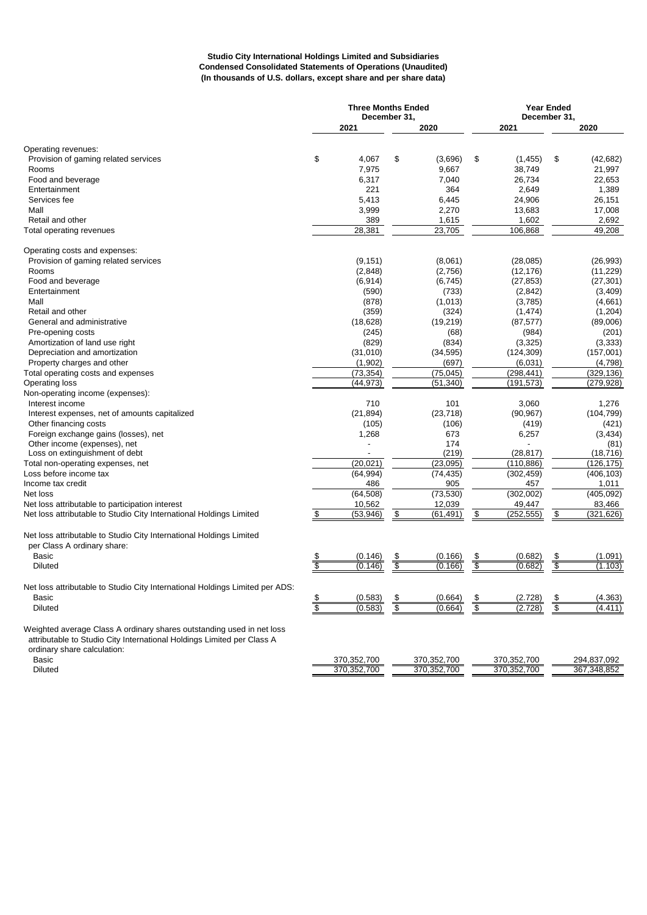#### **Studio City International Holdings Limited and Subsidiaries Condensed Consolidated Statements of Operations (Unaudited) (In thousands of U.S. dollars, except share and per share data)**

|                                                                                                                                                                                | <b>Three Months Ended</b><br>December 31. |             |                           |             |                           | <b>Year Ended</b><br>December 31, |        |             |  |
|--------------------------------------------------------------------------------------------------------------------------------------------------------------------------------|-------------------------------------------|-------------|---------------------------|-------------|---------------------------|-----------------------------------|--------|-------------|--|
|                                                                                                                                                                                |                                           | 2021        |                           | 2020        |                           | 2021                              | 2020   |             |  |
| Operating revenues:                                                                                                                                                            |                                           |             |                           |             |                           |                                   |        |             |  |
| Provision of gaming related services                                                                                                                                           | \$                                        | 4,067       | \$                        | (3,696)     | \$                        | (1, 455)                          | \$     | (42, 682)   |  |
| Rooms                                                                                                                                                                          |                                           | 7,975       |                           | 9,667       |                           | 38,749                            |        | 21,997      |  |
| Food and beverage                                                                                                                                                              |                                           | 6,317       |                           | 7,040       |                           | 26,734                            |        | 22,653      |  |
| Entertainment                                                                                                                                                                  |                                           | 221         |                           | 364         |                           | 2,649                             |        | 1,389       |  |
| Services fee                                                                                                                                                                   |                                           | 5,413       |                           | 6,445       |                           | 24,906                            |        | 26,151      |  |
| Mall                                                                                                                                                                           |                                           | 3,999       |                           | 2,270       |                           | 13,683                            |        | 17,008      |  |
| Retail and other                                                                                                                                                               |                                           | 389         |                           | 1,615       |                           | 1,602                             |        | 2,692       |  |
| Total operating revenues                                                                                                                                                       |                                           | 28,381      |                           | 23,705      |                           | 106,868                           |        | 49,208      |  |
|                                                                                                                                                                                |                                           |             |                           |             |                           |                                   |        |             |  |
| Operating costs and expenses:                                                                                                                                                  |                                           |             |                           |             |                           |                                   |        |             |  |
| Provision of gaming related services                                                                                                                                           |                                           | (9, 151)    |                           | (8,061)     |                           | (28,085)                          |        | (26,993)    |  |
| Rooms                                                                                                                                                                          |                                           | (2,848)     |                           | (2,756)     |                           | (12, 176)                         |        | (11, 229)   |  |
| Food and beverage                                                                                                                                                              |                                           | (6, 914)    |                           | (6, 745)    |                           | (27, 853)                         |        | (27, 301)   |  |
| Entertainment                                                                                                                                                                  |                                           | (590)       |                           | (733)       |                           | (2,842)                           |        | (3,409)     |  |
| Mall                                                                                                                                                                           |                                           | (878)       |                           | (1,013)     |                           | (3,785)                           |        | (4,661)     |  |
| Retail and other                                                                                                                                                               |                                           | (359)       |                           | (324)       |                           | (1, 474)                          |        | (1, 204)    |  |
| General and administrative                                                                                                                                                     |                                           | (18, 628)   |                           | (19, 219)   |                           | (87, 577)                         |        | (89,006)    |  |
| Pre-opening costs                                                                                                                                                              |                                           | (245)       |                           | (68)        |                           | (984)                             |        | (201)       |  |
| Amortization of land use right                                                                                                                                                 |                                           | (829)       |                           | (834)       |                           | (3, 325)                          |        | (3, 333)    |  |
| Depreciation and amortization                                                                                                                                                  |                                           | (31,010)    |                           | (34, 595)   |                           | (124, 309)                        |        | (157,001)   |  |
| Property charges and other                                                                                                                                                     |                                           | (1,902)     |                           | (697)       |                           | (6,031)                           |        | (4,798)     |  |
| Total operating costs and expenses                                                                                                                                             |                                           | (73, 354)   |                           | (75, 045)   |                           | (298, 441)                        |        | (329, 136)  |  |
| <b>Operating loss</b>                                                                                                                                                          |                                           | (44, 973)   |                           | (51, 340)   |                           | (191, 573)                        |        | (279, 928)  |  |
| Non-operating income (expenses):                                                                                                                                               |                                           |             |                           |             |                           |                                   |        |             |  |
| Interest income                                                                                                                                                                |                                           | 710         |                           | 101         |                           | 3.060                             |        | 1.276       |  |
| Interest expenses, net of amounts capitalized                                                                                                                                  |                                           | (21, 894)   |                           | (23, 718)   |                           | (90, 967)                         |        | (104, 799)  |  |
| Other financing costs                                                                                                                                                          |                                           | (105)       |                           | (106)       |                           | (419)                             |        | (421)       |  |
| Foreign exchange gains (losses), net                                                                                                                                           |                                           | 1,268       |                           | 673         |                           | 6,257                             |        | (3, 434)    |  |
| Other income (expenses), net                                                                                                                                                   |                                           |             |                           | 174         |                           |                                   |        | (81)        |  |
| Loss on extinguishment of debt                                                                                                                                                 |                                           |             |                           | (219)       |                           | (28, 817)                         |        | (18, 716)   |  |
| Total non-operating expenses, net                                                                                                                                              |                                           | (20, 021)   |                           | (23,095)    |                           | (110, 886)                        |        | (126, 175)  |  |
| Loss before income tax                                                                                                                                                         |                                           | (64, 994)   |                           | (74, 435)   |                           | (302, 459)                        |        | (406, 103)  |  |
| Income tax credit                                                                                                                                                              |                                           | 486         |                           | 905         |                           | 457                               |        | 1,011       |  |
| Net loss                                                                                                                                                                       |                                           | (64, 508)   |                           | (73, 530)   |                           | (302,002)                         |        | (405, 092)  |  |
| Net loss attributable to participation interest                                                                                                                                |                                           | 10,562      |                           | 12,039      |                           | 49,447                            |        | 83,466      |  |
| Net loss attributable to Studio City International Holdings Limited                                                                                                            | \$                                        | (53,946)    | \$                        | (61, 491)   | \$                        | (252, 555)                        | \$     | (321,626)   |  |
| Net loss attributable to Studio City International Holdings Limited                                                                                                            |                                           |             |                           |             |                           |                                   |        |             |  |
| per Class A ordinary share:                                                                                                                                                    |                                           |             |                           |             |                           |                                   |        |             |  |
| <b>Basic</b>                                                                                                                                                                   |                                           | (0.146)     |                           | (0.166)     |                           | (0.682)                           |        | (1.091)     |  |
| <b>Diluted</b>                                                                                                                                                                 | \$                                        | (0.146)     | \$                        | (0.166)     | $rac{3}{3}$               | (0.682)                           | s<br>S | (1.103)     |  |
| Net loss attributable to Studio City International Holdings Limited per ADS:                                                                                                   |                                           |             |                           |             |                           |                                   |        |             |  |
| <b>Basic</b>                                                                                                                                                                   | \$                                        | (0.583)     | \$                        | (0.664)     | \$                        | (2.728)                           | \$     | (4.363)     |  |
| <b>Diluted</b>                                                                                                                                                                 | $\overline{\$}$                           | (0.583)     | $\overline{\mathfrak{s}}$ | (0.664)     | $\overline{\mathfrak{s}}$ | (2.728)                           |        | (4.411)     |  |
|                                                                                                                                                                                |                                           |             |                           |             |                           |                                   |        |             |  |
| Weighted average Class A ordinary shares outstanding used in net loss<br>attributable to Studio City International Holdings Limited per Class A<br>ordinary share calculation: |                                           |             |                           |             |                           |                                   |        |             |  |
| Basic                                                                                                                                                                          |                                           | 370,352,700 |                           | 370,352,700 |                           | 370,352,700                       |        | 294,837,092 |  |

Diluted 370,352,700 370,352,700 370,352,700 367,348,852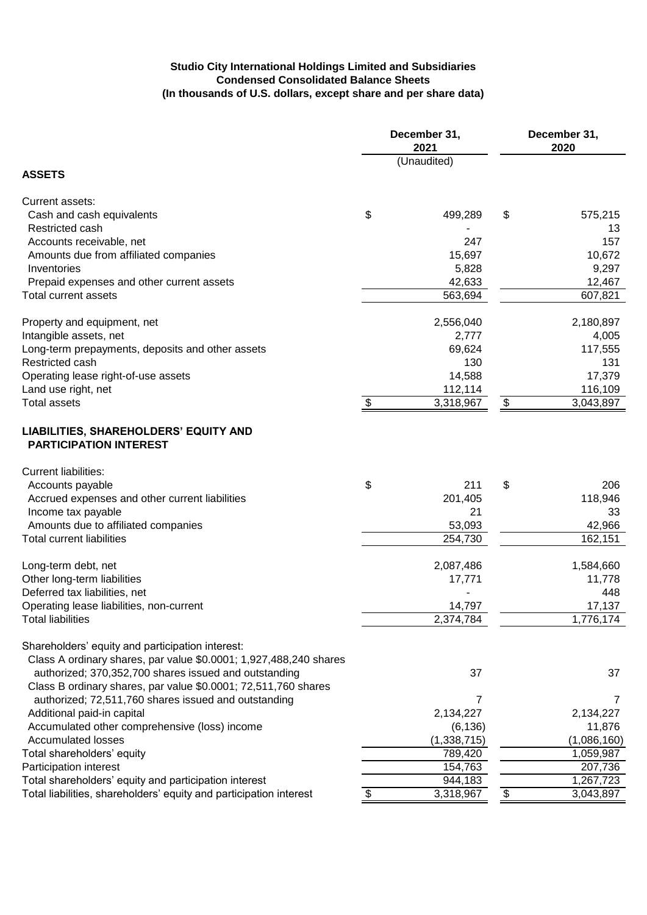#### **Studio City International Holdings Limited and Subsidiaries Condensed Consolidated Balance Sheets (In thousands of U.S. dollars, except share and per share data)**

|                                                                                                                         | December 31,<br>2021 | December 31,<br>2020 |             |  |
|-------------------------------------------------------------------------------------------------------------------------|----------------------|----------------------|-------------|--|
| <b>ASSETS</b>                                                                                                           | (Unaudited)          |                      |             |  |
| Current assets:                                                                                                         |                      |                      |             |  |
| Cash and cash equivalents                                                                                               | \$<br>499,289        | \$                   | 575,215     |  |
| Restricted cash                                                                                                         |                      |                      | 13          |  |
| Accounts receivable, net                                                                                                | 247                  |                      | 157         |  |
| Amounts due from affiliated companies                                                                                   | 15,697               |                      | 10,672      |  |
| Inventories                                                                                                             | 5,828                |                      | 9,297       |  |
| Prepaid expenses and other current assets                                                                               | 42,633               |                      | 12,467      |  |
| Total current assets                                                                                                    | 563,694              |                      | 607,821     |  |
| Property and equipment, net                                                                                             | 2,556,040            |                      | 2,180,897   |  |
| Intangible assets, net                                                                                                  | 2,777                |                      | 4,005       |  |
| Long-term prepayments, deposits and other assets                                                                        | 69,624               |                      | 117,555     |  |
| Restricted cash                                                                                                         | 130                  |                      | 131         |  |
| Operating lease right-of-use assets                                                                                     | 14,588               |                      | 17,379      |  |
| Land use right, net                                                                                                     | 112,114              |                      | 116,109     |  |
| <b>Total assets</b>                                                                                                     | \$<br>3,318,967      | \$                   | 3,043,897   |  |
| LIABILITIES, SHAREHOLDERS' EQUITY AND<br><b>PARTICIPATION INTEREST</b>                                                  |                      |                      |             |  |
| <b>Current liabilities:</b>                                                                                             |                      |                      |             |  |
| Accounts payable                                                                                                        | \$<br>211            | \$                   | 206         |  |
| Accrued expenses and other current liabilities                                                                          | 201,405              |                      | 118,946     |  |
| Income tax payable                                                                                                      | 21                   |                      | 33          |  |
| Amounts due to affiliated companies                                                                                     | 53,093               |                      | 42,966      |  |
| <b>Total current liabilities</b>                                                                                        | 254,730              |                      | 162,151     |  |
| Long-term debt, net                                                                                                     | 2,087,486            |                      | 1,584,660   |  |
| Other long-term liabilities                                                                                             | 17,771               |                      | 11,778      |  |
| Deferred tax liabilities, net                                                                                           |                      |                      | 448         |  |
| Operating lease liabilities, non-current                                                                                | 14,797               |                      | 17,137      |  |
| <b>Total liabilities</b>                                                                                                | 2,374,784            |                      | 1,776,174   |  |
|                                                                                                                         |                      |                      |             |  |
| Shareholders' equity and participation interest:                                                                        |                      |                      |             |  |
| Class A ordinary shares, par value \$0.0001; 1,927,488,240 shares                                                       |                      |                      |             |  |
| authorized; 370,352,700 shares issued and outstanding<br>Class B ordinary shares, par value \$0.0001; 72,511,760 shares | 37                   |                      | 37          |  |
| authorized; 72,511,760 shares issued and outstanding                                                                    | $\overline{7}$       |                      | 7           |  |
| Additional paid-in capital                                                                                              | 2,134,227            |                      | 2,134,227   |  |
| Accumulated other comprehensive (loss) income                                                                           | (6, 136)             |                      | 11,876      |  |
| <b>Accumulated losses</b>                                                                                               | (1,338,715)          |                      | (1,086,160) |  |
| Total shareholders' equity                                                                                              | 789,420              |                      | 1,059,987   |  |
| Participation interest                                                                                                  | 154,763              |                      | 207,736     |  |
| Total shareholders' equity and participation interest                                                                   | 944,183              |                      | 1,267,723   |  |
| Total liabilities, shareholders' equity and participation interest                                                      | 3,318,967            | \$                   | 3,043,897   |  |
|                                                                                                                         |                      |                      |             |  |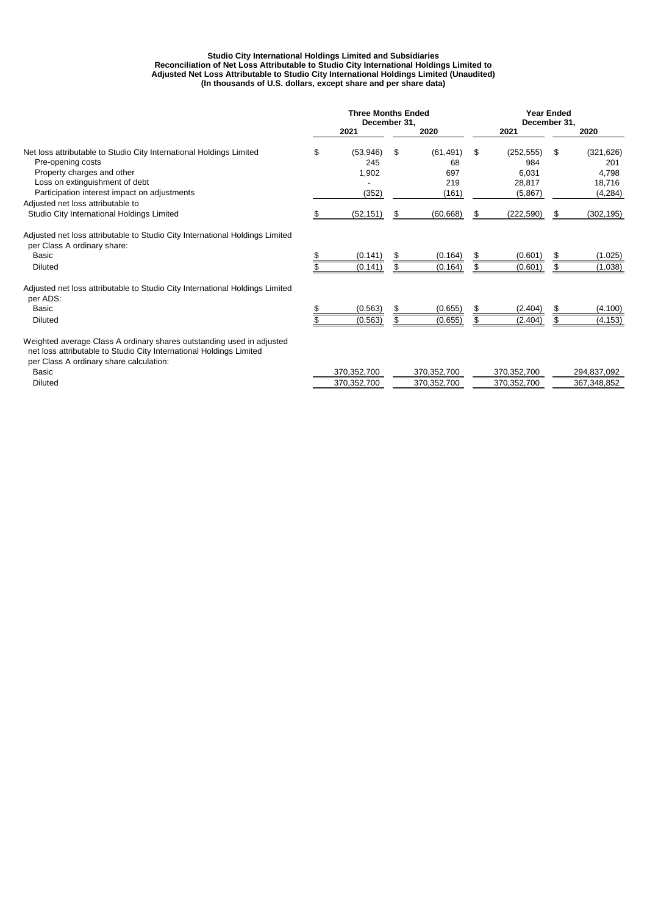#### **Reconciliation of Net Loss Attributable to Studio City International Holdings Limited to Studio City International Holdings Limited and Subsidiaries (In thousands of U.S. dollars, except share and per share data) Adjusted Net Loss Attributable to Studio City International Holdings Limited (Unaudited)**

|                                                                                                                                                                                         | <b>Three Months Ended</b><br>December 31, |                          |    |                        | <b>Year Ended</b><br>December 31, |                            |         |                            |
|-----------------------------------------------------------------------------------------------------------------------------------------------------------------------------------------|-------------------------------------------|--------------------------|----|------------------------|-----------------------------------|----------------------------|---------|----------------------------|
|                                                                                                                                                                                         |                                           | 2021                     |    | 2020                   |                                   | 2021                       |         | 2020                       |
| Net loss attributable to Studio City International Holdings Limited<br>Pre-opening costs<br>Property charges and other                                                                  | \$                                        | (53,946)<br>245<br>1,902 | \$ | (61, 491)<br>68<br>697 | \$                                | (252, 555)<br>984<br>6.031 | \$      | (321, 626)<br>201<br>4.798 |
| Loss on extinguishment of debt<br>Participation interest impact on adjustments                                                                                                          |                                           | (352)                    |    | 219<br>(161)           |                                   | 28,817<br>(5,867)          |         | 18,716<br>(4, 284)         |
| Adjusted net loss attributable to<br>Studio City International Holdings Limited                                                                                                         | Ж                                         | (52, 151)                | S  | (60, 668)              | \$.                               | (222, 590)                 | \$      | (302, 195)                 |
| Adjusted net loss attributable to Studio City International Holdings Limited<br>per Class A ordinary share:                                                                             |                                           |                          |    |                        |                                   |                            |         |                            |
| Basic<br><b>Diluted</b>                                                                                                                                                                 |                                           | (0.141)<br>(0.141)       | \$ | (0.164)<br>(0.164)     | \$                                | (0.601)<br>(0.601)         | S<br>\$ | (1.025)<br>(1.038)         |
| Adjusted net loss attributable to Studio City International Holdings Limited<br>per ADS:                                                                                                |                                           |                          |    |                        |                                   |                            |         |                            |
| Basic<br><b>Diluted</b>                                                                                                                                                                 |                                           | (0.563)<br>(0.563)       | \$ | (0.655)<br>(0.655)     | \$.                               | (2.404)<br>(2.404)         | \$      | (4.100)<br>(4.153)         |
| Weighted average Class A ordinary shares outstanding used in adjusted<br>net loss attributable to Studio City International Holdings Limited<br>per Class A ordinary share calculation: |                                           |                          |    |                        |                                   |                            |         |                            |
| <b>Basic</b>                                                                                                                                                                            |                                           | 370,352,700              |    | 370,352,700            |                                   | 370,352,700                |         | 294,837,092                |
| <b>Diluted</b>                                                                                                                                                                          |                                           | 370,352,700              |    | 370,352,700            |                                   | 370,352,700                |         | 367,348,852                |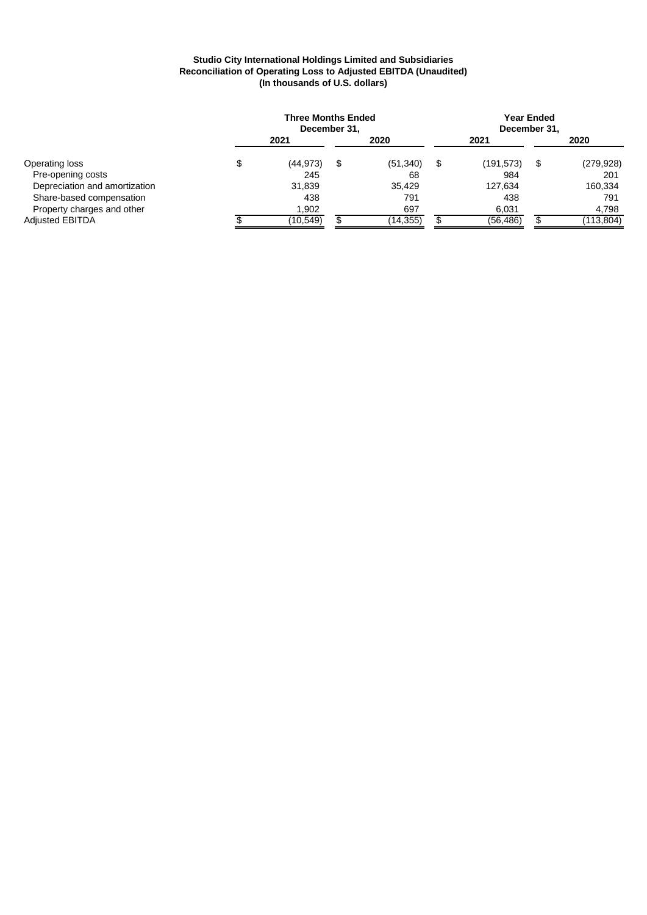#### **Studio City International Holdings Limited and Subsidiaries Reconciliation of Operating Loss to Adjusted EBITDA (Unaudited) (In thousands of U.S. dollars)**

|                               | <b>Three Months Ended</b><br>December 31, |   |           |   |            | Year Ended<br>December 31, |            |  |
|-------------------------------|-------------------------------------------|---|-----------|---|------------|----------------------------|------------|--|
|                               | 2021                                      |   | 2020      |   | 2021       | 2020                       |            |  |
| Operating loss                | (44, 973)                                 | S | (51, 340) | S | (191, 573) | S                          | (279, 928) |  |
| Pre-opening costs             | 245                                       |   | 68        |   | 984        |                            | 201        |  |
| Depreciation and amortization | 31,839                                    |   | 35,429    |   | 127,634    |                            | 160,334    |  |
| Share-based compensation      | 438                                       |   | 791       |   | 438        |                            | 791        |  |
| Property charges and other    | 1,902                                     |   | 697       |   | 6,031      |                            | 4,798      |  |
| <b>Adjusted EBITDA</b>        | (10,549)                                  |   | (14, 355) |   | (56, 486)  |                            | (113, 804) |  |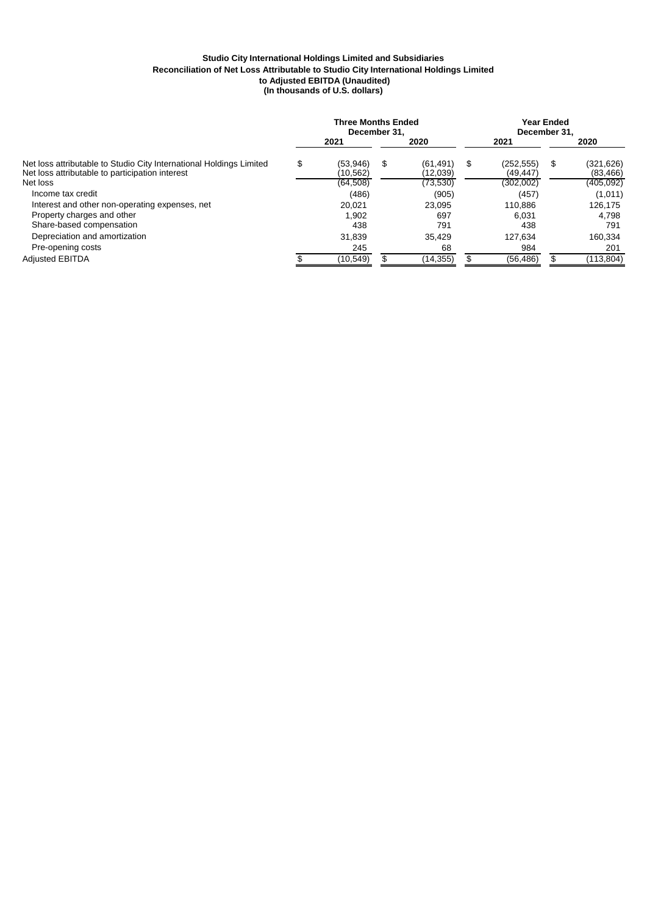#### **Studio City International Holdings Limited and Subsidiaries (In thousands of U.S. dollars) Reconciliation of Net Loss Attributable to Studio City International Holdings Limited to Adjusted EBITDA (Unaudited)**

|                                                                                                                        | <b>Three Months Ended</b><br>December 31. |                       |      |                      | Year Ended<br>December 31. |                        |     |                         |
|------------------------------------------------------------------------------------------------------------------------|-------------------------------------------|-----------------------|------|----------------------|----------------------------|------------------------|-----|-------------------------|
|                                                                                                                        |                                           | 2021                  | 2020 |                      |                            | 2021                   |     | 2020                    |
| Net loss attributable to Studio City International Holdings Limited<br>Net loss attributable to participation interest | \$                                        | (53.946)<br>(10, 562) | S    | (61.491)<br>(12,039) | \$                         | (252.555)<br>(49, 447) | \$. | (321, 626)<br>(83, 466) |
| Net loss                                                                                                               |                                           | (64, 508)             |      | (73, 530)            |                            | (302,002)              |     | (405, 092)              |
| Income tax credit                                                                                                      |                                           | (486)                 |      | (905)                |                            | (457)                  |     | (1,011)                 |
| Interest and other non-operating expenses, net                                                                         |                                           | 20.021                |      | 23.095               |                            | 110.886                |     | 126.175                 |
| Property charges and other                                                                                             |                                           | .902                  |      | 697                  |                            | 6.031                  |     | 4.798                   |
| Share-based compensation                                                                                               |                                           | 438                   |      | 791                  |                            | 438                    |     | 791                     |
| Depreciation and amortization                                                                                          |                                           | 31,839                |      | 35.429               |                            | 127.634                |     | 160,334                 |
| Pre-opening costs                                                                                                      |                                           | 245                   |      | 68                   |                            | 984                    |     | 201                     |
| <b>Adiusted EBITDA</b>                                                                                                 |                                           | (10, 549)             |      | (14, 355)            |                            | (56, 486)              |     | (113, 804)              |